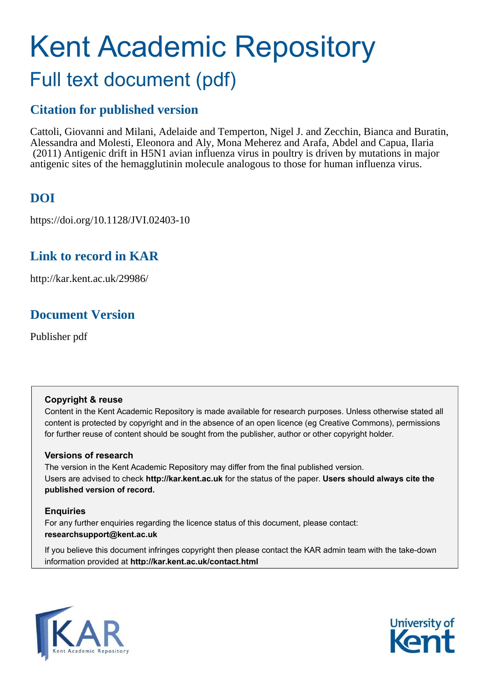# Kent Academic Repository Full text document (pdf)

# **Citation for published version**

Cattoli, Giovanni and Milani, Adelaide and Temperton, Nigel J. and Zecchin, Bianca and Buratin, Alessandra and Molesti, Eleonora and Aly, Mona Meherez and Arafa, Abdel and Capua, Ilaria (2011) Antigenic drift in H5N1 avian influenza virus in poultry is driven by mutations in major antigenic sites of the hemagglutinin molecule analogous to those for human influenza virus.

# **DOI**

https://doi.org/10.1128/JVI.02403-10

# **Link to record in KAR**

http://kar.kent.ac.uk/29986/

# **Document Version**

Publisher pdf

## **Copyright & reuse**

Content in the Kent Academic Repository is made available for research purposes. Unless otherwise stated all content is protected by copyright and in the absence of an open licence (eg Creative Commons), permissions for further reuse of content should be sought from the publisher, author or other copyright holder.

## **Versions of research**

The version in the Kent Academic Repository may differ from the final published version. Users are advised to check **http://kar.kent.ac.uk** for the status of the paper. **Users should always cite the published version of record.**

## **Enquiries**

For any further enquiries regarding the licence status of this document, please contact: **researchsupport@kent.ac.uk**

If you believe this document infringes copyright then please contact the KAR admin team with the take-down information provided at **http://kar.kent.ac.uk/contact.html**



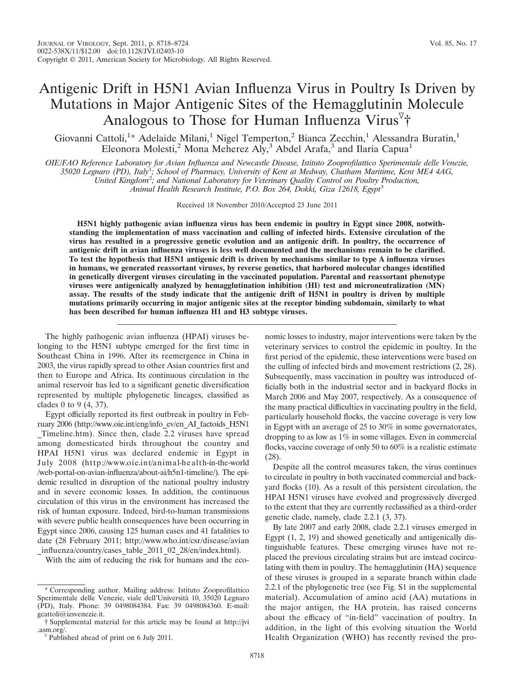## Antigenic Drift in H5N1 Avian Influenza Virus in Poultry Is Driven by Mutations in Major Antigenic Sites of the Hemagglutinin Molecule Analogous to Those for Human Influenza Virus<sup>7</sup>†

Giovanni Cattoli,<sup>1</sup>\* Adelaide Milani,<sup>1</sup> Nigel Temperton,<sup>2</sup> Bianca Zecchin,<sup>1</sup> Alessandra Buratin,<sup>1</sup> Eleonora Molesti,<sup>2</sup> Mona Meherez Aly,<sup>3</sup> Abdel Arafa,<sup>3</sup> and Ilaria Capua<sup>1</sup>

*OIE/FAO Reference Laboratory for Avian Influenza and Newcastle Disease, Istituto Zooprofilattico Sperimentale delle Venezie, 35020 Legnaro (PD), Italy*<sup>1</sup> *; School of Pharmacy, University of Kent at Medway, Chatham Maritime, Kent ME4 4AG, United Kingdom*<sup>2</sup> *; and National Laboratory for Veterinary Quality Control on Poultry Production, Animal Health Research Institute, P.O. Box 264, Dokki, Giza 12618, Egypt*<sup>3</sup>

Received 18 November 2010/Accepted 23 June 2011

**H5N1 highly pathogenic avian influenza virus has been endemic in poultry in Egypt since 2008, notwithstanding the implementation of mass vaccination and culling of infected birds. Extensive circulation of the virus has resulted in a progressive genetic evolution and an antigenic drift. In poultry, the occurrence of antigenic drift in avian influenza viruses is less well documented and the mechanisms remain to be clarified. To test the hypothesis that H5N1 antigenic drift is driven by mechanisms similar to type A influenza viruses in humans, we generated reassortant viruses, by reverse genetics, that harbored molecular changes identified in genetically divergent viruses circulating in the vaccinated population. Parental and reassortant phenotype viruses were antigenically analyzed by hemagglutination inhibition (HI) test and microneutralization (MN) assay. The results of the study indicate that the antigenic drift of H5N1 in poultry is driven by multiple mutations primarily occurring in major antigenic sites at the receptor binding subdomain, similarly to what has been described for human influenza H1 and H3 subtype viruses.**

The highly pathogenic avian influenza (HPAI) viruses belonging to the H5N1 subtype emerged for the first time in Southeast China in 1996. After its reemergence in China in 2003, the virus rapidly spread to other Asian countries first and then to Europe and Africa. Its continuous circulation in the animal reservoir has led to a significant genetic diversification represented by multiple phylogenetic lineages, classified as clades 0 to 9 (4, 37).

Egypt officially reported its first outbreak in poultry in February 2006 (http://www.oie.int/eng/info\_ev/en\_AI\_factoids\_H5N1 \_Timeline.htm). Since then, clade 2.2 viruses have spread among domesticated birds throughout the country and HPAI H5N1 virus was declared endemic in Egypt in July 2008 (http://www.oie.int/animal-health-in-the-world /web-portal-on-avian-influenza/about-ai/h5n1-timeline/). The epidemic resulted in disruption of the national poultry industry and in severe economic losses. In addition, the continuous circulation of this virus in the environment has increased the risk of human exposure. Indeed, bird-to-human transmissions with severe public health consequences have been occurring in Egypt since 2006, causing 125 human cases and 41 fatalities to date (28 February 2011; http://www.who.int/csr/disease/avian \_influenza/country/cases\_table\_2011\_02\_28/en/index.html).

With the aim of reducing the risk for humans and the eco-

nomic losses to industry, major interventions were taken by the veterinary services to control the epidemic in poultry. In the first period of the epidemic, these interventions were based on the culling of infected birds and movement restrictions (2, 28). Subsequently, mass vaccination in poultry was introduced officially both in the industrial sector and in backyard flocks in March 2006 and May 2007, respectively. As a consequence of the many practical difficulties in vaccinating poultry in the field, particularly household flocks, the vaccine coverage is very low in Egypt with an average of 25 to 30% in some governatorates, dropping to as low as 1% in some villages. Even in commercial flocks, vaccine coverage of only 50 to 60% is a realistic estimate (28).

Despite all the control measures taken, the virus continues to circulate in poultry in both vaccinated commercial and backyard flocks (10). As a result of this persistent circulation, the HPAI H5N1 viruses have evolved and progressively diverged to the extent that they are currently reclassified as a third-order genetic clade, namely, clade 2.2.1 (3, 37).

By late 2007 and early 2008, clade 2.2.1 viruses emerged in Egypt (1, 2, 19) and showed genetically and antigenically distinguishable features. These emerging viruses have not replaced the previous circulating strains but are instead cocirculating with them in poultry. The hemagglutinin (HA) sequence of these viruses is grouped in a separate branch within clade 2.2.1 of the phylogenetic tree (see Fig. S1 in the supplemental material). Accumulation of amino acid (AA) mutations in the major antigen, the HA protein, has raised concerns about the efficacy of "in-field" vaccination of poultry. In addition, in the light of this evolving situation the World Health Organization (WHO) has recently revised the pro-

<sup>\*</sup> Corresponding author. Mailing address: Istituto Zooprofilattico Sperimentale delle Venezie, viale dell'Università 10, 35020 Legnaro (PD), Italy. Phone: 39 0498084384. Fax: 39 0498084360. E-mail: gcattoli@izsvenezie.it.

<sup>†</sup> Supplemental material for this article may be found at http://jvi .asm.org/.

 $\sqrt[p]{}$  Published ahead of print on 6 July 2011.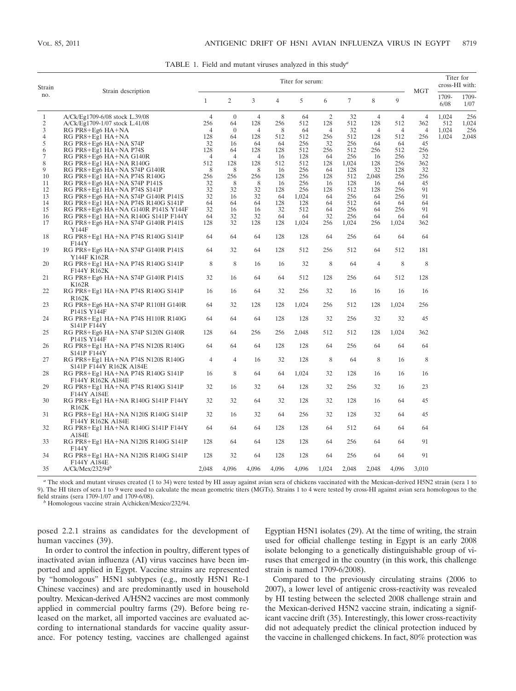TABLE 1. Field and mutant viruses analyzed in this study*<sup>a</sup>*

| Strain         |                                                                         | Titer for serum: |                  |                |           |              |                |                |                | <b>MGT</b>     | Titer for<br>cross-HI with: |               |               |
|----------------|-------------------------------------------------------------------------|------------------|------------------|----------------|-----------|--------------|----------------|----------------|----------------|----------------|-----------------------------|---------------|---------------|
| no.            | Strain description                                                      |                  | 2                | 3              | 4         | 5            | 6              | $\overline{7}$ | 8              | 9              |                             | 1709-<br>6/08 | 1709-<br>1/07 |
| $\mathbf{1}$   | A/Ck/Eg1709-6/08 stock L.39/08                                          | $\overline{4}$   | $\theta$         | $\overline{4}$ | 8         | 64           | $\overline{c}$ | 32             | 4              | 4              | $\overline{4}$              | 1,024         | 256           |
| $\mathbf{2}$   | A/Ck/Eg1709-1/07 stock L.41/08                                          | 256              | 64               | 128            | 256       | 512          | 128            | 512            | 128            | 512            | 362                         | 512           | 1,024         |
| 3              | RG PR8+Eg6 HA+NA                                                        | $\overline{4}$   | $\boldsymbol{0}$ | $\overline{4}$ | 8         | 64           | $\overline{4}$ | 32             | $\overline{4}$ | $\overline{4}$ | 4                           | 1,024         | 256           |
| $\overline{4}$ | RG PR8+Eg1 HA+NA                                                        | 128              | 64               | 128            | 512       | 512          | 256            | 512            | 128            | 512            | 256                         | 1,024         | 2,048         |
| 5              | RG PR8+Eg6 HA+NA S74P                                                   | 32               | 16               | 64             | 64        | 256          | 32             | 256            | 64             | 64             | 45                          |               |               |
| 6              | RG PR8+Eg1 HA+NA P74S                                                   | 128              | 64               | 128            | 128       | 512          | 256            | 512            | 256            | 512            | 256                         |               |               |
| 7              | RG PR8+Eg6 HA+NA G140R                                                  | $\overline{4}$   | 4                | $\overline{4}$ | 16        | 128          | 64             | 256            | 16             | 256            | 32                          |               |               |
| 8              | RG PR8+Eg1 HA+NA R140G                                                  | 512              | 128              | 128            | 512       | 512          | 128            | 1,024          | 128            | 256            | 362                         |               |               |
| 9              | RG PR8+Eg6 HA+NA S74P G140R                                             | 8                | 8                | 8              | 16        | 256          | 64             | 128            | 32             | 128            | 32                          |               |               |
| 10             | RG PR8+Eg1 HA+NA P74S R140G                                             | 256              | 256              | 256            | 128       | 256          | 128            | 512            | 2,048          | 256            | 256                         |               |               |
| 11             | RG PR8+Eg6 HA+NA S74P P141S                                             | 32<br>32         | 8<br>32          | 8<br>32        | 16<br>128 | 256<br>256   | 16             | 128<br>512     | 16<br>128      | 64<br>256      | 45<br>91                    |               |               |
| 12             | RG PR8+Eg1 HA+NA P74S S141P                                             | 32               |                  | 32             |           |              | 128            | 256            |                | 256            | 91                          |               |               |
| 13<br>14       | RG PR8+Eg6 HA+NA S74P G140R P141S                                       | 64               | 16<br>64         | 64             | 64<br>128 | 1,024<br>128 | 64<br>64       | 512            | 64<br>64       | 64             | 64                          |               |               |
| 15             | RG PR8+Eg1 HA+NA P74S R140G S141P                                       | 32               | 16               | 16             | 32        | 512          | 64             | 256            | 64             | 256            | 91                          |               |               |
|                | RG PR8+Eg6 HA+NA G140R P141S Y144F                                      | 64               | 32               | 32             | 64        |              | 32             | 256            |                |                |                             |               |               |
| 16<br>17       | RG PR8+Eg1 HA+NA R140G S141P F144Y<br>RG PR8+Eg6 HA+NA S74P G140R P141S | 128              | 32               | 128            | 128       | 64<br>1,024  | 256            | 1,024          | 64<br>256      | 64<br>1,024    | 64<br>362                   |               |               |
|                | Y144F                                                                   |                  |                  |                |           |              |                |                |                |                |                             |               |               |
| 18             | RG PR8+Eg1 HA+NA P74S R140G S141P<br>F144Y                              | 64               | 64               | 64             | 128       | 128          | 64             | 256            | 64             | 64             | 64                          |               |               |
| 19             | RG PR8+Eg6 HA+NA S74P G140R P141S<br>Y144F K162R                        | 64               | 32               | 64             | 128       | 512          | 256            | 512            | 64             | 512            | 181                         |               |               |
| 20             | RG PR8+Eg1 HA+NA P74S R140G S141P<br>F144Y R162K                        | 8                | 8                | 16             | 16        | 32           | 8              | 64             | 4              | 8              | 8                           |               |               |
| 21             | RG PR8+Eg6 HA+NA S74P G140R P141S<br>K162R                              | 32               | 16               | 64             | 64        | 512          | 128            | 256            | 64             | 512            | 128                         |               |               |
| 22             | RG PR8+Eg1 HA+NA P74S R140G S141P<br>R <sub>162</sub> K                 | 16               | 16               | 64             | 32        | 256          | 32             | 16             | 16             | 16             | 16                          |               |               |
| 23             | RG PR8+Eg6 HA+NA S74P R110H G140R<br>P141S Y144F                        | 64               | 32               | 128            | 128       | 1,024        | 256            | 512            | 128            | 1,024          | 256                         |               |               |
| 24             | RG PR8+Eg1 HA+NA P74S H110R R140G<br>S141P F144Y                        | 64               | 64               | 64             | 128       | 128          | 32             | 256            | 32             | 32             | 45                          |               |               |
| 25             | RG PR8+Eg6 HA+NA S74P S120N G140R<br>P141S Y144F                        | 128              | 64               | 256            | 256       | 2,048        | 512            | 512            | 128            | 1,024          | 362                         |               |               |
| 26             | RG PR8+Eg1 HA+NA P74S N120S R140G<br>S141P F144Y                        | 64               | 64               | 64             | 128       | 128          | 64             | 256            | 64             | 64             | 64                          |               |               |
| 27             | RG PR8+Eg1 HA+NA P74S N120S R140G<br>S141P F144Y R162K A184E            | $\overline{4}$   | 4                | 16             | 32        | 128          | 8              | 64             | 8              | 16             | 8                           |               |               |
| 28             | RG PR8+Eg1 HA+NA P74S R140G S141P<br>F144Y R162K A184E                  | 16               | 8                | 64             | 64        | 1,024        | 32             | 128            | 16             | 16             | 16                          |               |               |
| 29             | RG PR8+Eg1 HA+NA P74S R140G S141P<br>F144Y A184E                        | 32               | 16               | 32             | 64        | 128          | 32             | 256            | 32             | 16             | 23                          |               |               |
| 30             | RG PR8+Eg1 HA+NA R140G S141P F144Y<br>R <sub>162</sub> K                | 32               | 32               | 64             | 32        | 128          | 32             | 128            | 16             | 64             | 45                          |               |               |
| 31             | RG PR8+Eg1 HA+NA N120S R140G S141P<br>F144Y R162K A184E                 | 32               | 16               | 32             | 64        | 256          | 32             | 128            | 32             | 64             | 45                          |               |               |
| 32             | RG PR8+Eg1 HA+NA R140G S141P F144Y<br>A184E                             | 64               | 64               | 64             | 128       | 128          | 64             | 512            | 64             | 64             | 64                          |               |               |
| 33             | RG PR8+Eg1 HA+NA N120S R140G S141P<br>F144Y                             | 128              | 64               | 64             | 128       | 128          | 64             | 256            | 64             | 64             | 91                          |               |               |
| 34             | RG PR8+Eg1 HA+NA N120S R140G S141P<br>F144Y A184E                       | 128              | 32               | 64             | 128       | 128          | 64             | 256            | 64             | 64             | 91                          |               |               |
| 35             | A/Ck/Mex/232/94 <sup>b</sup>                                            | 2,048            | 4,096            | 4,096          | 4,096     | 4,096        | 1,024          | 2,048          | 2,048          | 4,096          | 3,010                       |               |               |

*<sup>a</sup>* The stock and mutant viruses created (1 to 34) were tested by HI assay against avian sera of chickens vaccinated with the Mexican-derived H5N2 strain (sera 1 to 9). The HI titers of sera 1 to 9 were used to calculate the mean geometric titers (MGTs). Strains 1 to 4 were tested by cross-HI against avian sera homologous to the field strains (sera 1709-1/07 and 1709-6/08).

*<sup>b</sup>* Homologous vaccine strain A/chicken/Mexico/232/94.

posed 2.2.1 strains as candidates for the development of human vaccines (39).

In order to control the infection in poultry, different types of inactivated avian influenza (AI) virus vaccines have been imported and applied in Egypt. Vaccine strains are represented by "homologous" H5N1 subtypes (e.g., mostly H5N1 Re-1 Chinese vaccines) and are predominantly used in household poultry. Mexican-derived A/H5N2 vaccines are most commonly applied in commercial poultry farms (29). Before being released on the market, all imported vaccines are evaluated according to international standards for vaccine quality assurance. For potency testing, vaccines are challenged against Egyptian H5N1 isolates (29). At the time of writing, the strain used for official challenge testing in Egypt is an early 2008 isolate belonging to a genetically distinguishable group of viruses that emerged in the country (in this work, this challenge strain is named 1709-6/2008).

Compared to the previously circulating strains (2006 to 2007), a lower level of antigenic cross-reactivity was revealed by HI testing between the selected 2008 challenge strain and the Mexican-derived H5N2 vaccine strain, indicating a significant vaccine drift (35). Interestingly, this lower cross-reactivity did not adequately predict the clinical protection induced by the vaccine in challenged chickens. In fact, 80% protection was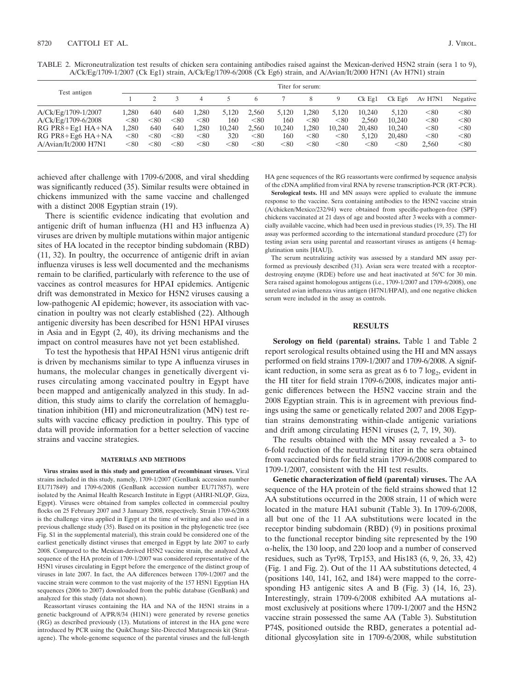|  |  |                                                                                                                     | TABLE 2. Microneutralization test results of chicken sera containing antibodies raised against the Mexican-derived H5N2 strain (sera 1 to 9), |
|--|--|---------------------------------------------------------------------------------------------------------------------|-----------------------------------------------------------------------------------------------------------------------------------------------|
|  |  | A/Ck/Eg/1709-1/2007 (Ck Eg1) strain, A/Ck/Eg/1709-6/2008 (Ck Eg6) strain, and A/Avian/It/2000 H7N1 (Av H7N1) strain |                                                                                                                                               |

|                         | Titer for serum: |      |      |       |            |            |            |       |            |          |                      |            |          |
|-------------------------|------------------|------|------|-------|------------|------------|------------|-------|------------|----------|----------------------|------------|----------|
| Test antigen            |                  |      |      |       |            | 6          |            |       |            | $Ck$ Eg1 | $Ck$ Eg <sub>6</sub> | Av H7N1    | Negative |
| A/Ck/Eg/1709-1/2007     | 1.280            | 640  | 640  | l.280 | 5.120      | 2.560      | 5.120      | 1.280 | 5.120      | 10.240   | 5.120                | $< \!\!80$ | < 80     |
| A/Ck/Eg/1709-6/2008     | $< \!\!80$       | < 80 | < 80 | < 80  | 160        | < 80       | 160        | < 80  | $< \!\!80$ | 2.560    | 10.240               | $< \!\!80$ | < 80     |
| $RG PR8 + Eg1 HA + NA$  | 1.280            | 640  | 640  | 1.280 | 10.240     | 2.560      | 10.240     | l.280 | 10.240     | 20,480   | 10.240               | $< \!\!80$ | < 80     |
| RG PR8+Eg6 HA+NA        | $< \!\!80$       | < 80 | < 80 | < 80  | 320        | < 80       | 160        | < 80  | $< \!\!80$ | 5.120    | 20,480               | $< \!\!80$ | < 80     |
| $A/A$ vian/It/2000 H7N1 | $< \!\!80$       | < 80 | < 80 | < 80  | $< \!\!80$ | $< \!\!80$ | $< \!\!80$ | < 80  | $< \!\!80$ | < 80     | < 80                 | 2.560      | < 80     |

achieved after challenge with 1709-6/2008, and viral shedding was significantly reduced (35). Similar results were obtained in chickens immunized with the same vaccine and challenged with a distinct 2008 Egyptian strain (19).

There is scientific evidence indicating that evolution and antigenic drift of human influenza (H1 and H3 influenza A) viruses are driven by multiple mutations within major antigenic sites of HA located in the receptor binding subdomain (RBD) (11, 32). In poultry, the occurrence of antigenic drift in avian influenza viruses is less well documented and the mechanisms remain to be clarified, particularly with reference to the use of vaccines as control measures for HPAI epidemics. Antigenic drift was demonstrated in Mexico for H5N2 viruses causing a low-pathogenic AI epidemic; however, its association with vaccination in poultry was not clearly established (22). Although antigenic diversity has been described for H5N1 HPAI viruses in Asia and in Egypt (2, 40), its driving mechanisms and the impact on control measures have not yet been established.

To test the hypothesis that HPAI H5N1 virus antigenic drift is driven by mechanisms similar to type A influenza viruses in humans, the molecular changes in genetically divergent viruses circulating among vaccinated poultry in Egypt have been mapped and antigenically analyzed in this study. In addition, this study aims to clarify the correlation of hemagglutination inhibition (HI) and microneutralization (MN) test results with vaccine efficacy prediction in poultry. This type of data will provide information for a better selection of vaccine strains and vaccine strategies.

#### **MATERIALS AND METHODS**

**Virus strains used in this study and generation of recombinant viruses.** Viral strains included in this study, namely, 1709-1/2007 (GenBank accession number EU717849) and 1709-6/2008 (GenBank accession number EU717857), were isolated by the Animal Health Research Institute in Egypt (AHRI-NLQP, Giza, Egypt). Viruses were obtained from samples collected in commercial poultry flocks on 25 February 2007 and 3 January 2008, respectively. Strain 1709-6/2008 is the challenge virus applied in Egypt at the time of writing and also used in a previous challenge study (35). Based on its position in the phylogenetic tree (see Fig. S1 in the supplemental material), this strain could be considered one of the earliest genetically distinct viruses that emerged in Egypt by late 2007 to early 2008. Compared to the Mexican-derived H5N2 vaccine strain, the analyzed AA sequence of the HA protein of 1709-1/2007 was considered representative of the H5N1 viruses circulating in Egypt before the emergence of the distinct group of viruses in late 2007. In fact, the AA differences between 1709-1/2007 and the vaccine strain were common to the vast majority of the 157 H5N1 Egyptian HA sequences (2006 to 2007) downloaded from the public database (GenBank) and analyzed for this study (data not shown).

Reassortant viruses containing the HA and NA of the H5N1 strains in a genetic background of A/PR/8/34 (H1N1) were generated by reverse genetics (RG) as described previously (13). Mutations of interest in the HA gene were introduced by PCR using the QuikChange Site-Directed Mutagenesis kit (Stratagene). The whole-genome sequence of the parental viruses and the full-length

HA gene sequences of the RG reassortants were confirmed by sequence analysis of the cDNA amplified from viral RNA by reverse transcription-PCR (RT-PCR).

**Serological tests.** HI and MN assays were applied to evaluate the immune response to the vaccine. Sera containing antibodies to the H5N2 vaccine strain (A/chicken/Mexico/232/94) were obtained from specific-pathogen-free (SPF) chickens vaccinated at 21 days of age and boosted after 3 weeks with a commercially available vaccine, which had been used in previous studies (19, 35). The HI assay was performed according to the international standard procedure (27) for testing avian sera using parental and reassortant viruses as antigens (4 hemagglutination units [HAU]).

The serum neutralizing activity was assessed by a standard MN assay performed as previously described (31). Avian sera were treated with a receptordestroying enzyme (RDE) before use and heat inactivated at 56°C for 30 min. Sera raised against homologous antigens (i.e., 1709-1/2007 and 1709-6/2008), one unrelated avian influenza virus antigen (H7N1/HPAI), and one negative chicken serum were included in the assay as controls.

### **RESULTS**

**Serology on field (parental) strains.** Table 1 and Table 2 report serological results obtained using the HI and MN assays performed on field strains 1709-1/2007 and 1709-6/2008. A significant reduction, in some sera as great as 6 to 7 log<sub>2</sub>, evident in the HI titer for field strain 1709-6/2008, indicates major antigenic differences between the H5N2 vaccine strain and the 2008 Egyptian strain. This is in agreement with previous findings using the same or genetically related 2007 and 2008 Egyptian strains demonstrating within-clade antigenic variations and drift among circulating H5N1 viruses (2, 7, 19, 30).

The results obtained with the MN assay revealed a 3- to 6-fold reduction of the neutralizing titer in the sera obtained from vaccinated birds for field strain 1709-6/2008 compared to 1709-1/2007, consistent with the HI test results.

**Genetic characterization of field (parental) viruses.** The AA sequence of the HA protein of the field strains showed that 12 AA substitutions occurred in the 2008 strain, 11 of which were located in the mature HA1 subunit (Table 3). In 1709-6/2008, all but one of the 11 AA substitutions were located in the receptor binding subdomain (RBD) (9) in positions proximal to the functional receptor binding site represented by the 190 --helix, the 130 loop, and 220 loop and a number of conserved residues, such as Tyr98, Trp153, and His183 (6, 9, 26, 33, 42) (Fig. 1 and Fig. 2). Out of the 11 AA substitutions detected, 4 (positions 140, 141, 162, and 184) were mapped to the corresponding H3 antigenic sites A and B (Fig. 3) (14, 16, 23). Interestingly, strain 1709-6/2008 exhibited AA mutations almost exclusively at positions where 1709-1/2007 and the H5N2 vaccine strain possessed the same AA (Table 3). Substitution P74S, positioned outside the RBD, generates a potential additional glycosylation site in 1709-6/2008, while substitution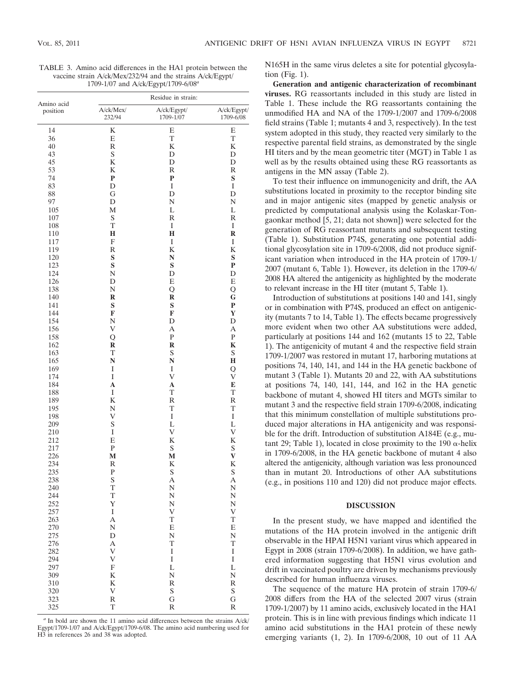TABLE 3. Amino acid differences in the HA1 protein between the vaccine strain A/ck/Mex/232/94 and the strains A/ck/Egypt/ 1709-1/07 and A/ck/Egypt/1709-6/08*<sup>a</sup>*

|                        | Residue in strain:        |                          |                          |  |  |  |  |  |  |  |
|------------------------|---------------------------|--------------------------|--------------------------|--|--|--|--|--|--|--|
| Amino acid<br>position | A/ck/Mex/<br>232/94       | A/ck/Egypt/<br>1709-1/07 | A/ck/Egypt/<br>1709-6/08 |  |  |  |  |  |  |  |
| 14                     | K                         | E                        | E                        |  |  |  |  |  |  |  |
| 36                     | E                         | T                        | T                        |  |  |  |  |  |  |  |
| 40                     | $\mathbb R$               | K                        | K                        |  |  |  |  |  |  |  |
| 43                     | $\mathbf S$               | D                        | D                        |  |  |  |  |  |  |  |
| 45                     | $\bf K$                   | D                        | D                        |  |  |  |  |  |  |  |
| 53                     | K                         | R                        | R                        |  |  |  |  |  |  |  |
| 74                     | $\bf{P}$                  | $\mathbf P$              | S                        |  |  |  |  |  |  |  |
| 83                     | D                         | $\bf I$                  | I                        |  |  |  |  |  |  |  |
| 88                     | G                         | D                        | D                        |  |  |  |  |  |  |  |
| 97                     | D                         | N                        | N                        |  |  |  |  |  |  |  |
| 105                    | М                         | L                        | L                        |  |  |  |  |  |  |  |
| 107                    | $\mathbf S$               | $\overline{\mathrm{R}}$  | R                        |  |  |  |  |  |  |  |
| 108                    | T                         | $\bf I$                  | $\bf I$                  |  |  |  |  |  |  |  |
| 110                    | H                         | $\mathbf H$              | R                        |  |  |  |  |  |  |  |
| 117                    | ${\rm F}$                 | $\bf I$                  | $\bf I$                  |  |  |  |  |  |  |  |
| 119                    | R                         | K                        | K                        |  |  |  |  |  |  |  |
| 120                    | S                         | N                        | S                        |  |  |  |  |  |  |  |
| 123                    | S                         | ${\bf S}$                | P                        |  |  |  |  |  |  |  |
| 124                    | N                         | D                        | D                        |  |  |  |  |  |  |  |
| 126                    | D                         | E                        | E                        |  |  |  |  |  |  |  |
| 138                    | N                         | Q                        | Q                        |  |  |  |  |  |  |  |
| 140                    | R                         | $\bf R$                  | G                        |  |  |  |  |  |  |  |
| 141                    | S                         | ${\bf S}$                | $\mathbf{P}$             |  |  |  |  |  |  |  |
| 144                    | F                         | F                        | Y                        |  |  |  |  |  |  |  |
| 154                    | N                         | D                        | D                        |  |  |  |  |  |  |  |
| 156                    | V                         | А                        | А                        |  |  |  |  |  |  |  |
| 158                    | О                         | ${\bf P}$                | ${\bf P}$                |  |  |  |  |  |  |  |
| 162                    | R                         | $\bf R$                  | K                        |  |  |  |  |  |  |  |
| 163                    | T                         | ${\mathbf S}$            | ${\mathbf S}$            |  |  |  |  |  |  |  |
| 165                    | N                         | N                        | Н                        |  |  |  |  |  |  |  |
| 169                    | I                         | $\bf I$                  | Q                        |  |  |  |  |  |  |  |
| 174                    | I                         | $\mathbf V$              | V                        |  |  |  |  |  |  |  |
| 184                    | A<br>$\bf I$              | A<br>T                   | E                        |  |  |  |  |  |  |  |
| 188                    | $\bf K$                   | $\overline{\mathrm{R}}$  | T                        |  |  |  |  |  |  |  |
| 189                    |                           | T                        | R<br>T                   |  |  |  |  |  |  |  |
| 195<br>198             | N<br>V                    | $\bf I$                  | $\bf I$                  |  |  |  |  |  |  |  |
| 209                    | $\mathbf S$               | L                        | L                        |  |  |  |  |  |  |  |
| 210                    | $\bf I$                   | $\mathbf V$              | V                        |  |  |  |  |  |  |  |
| 212                    | E                         | K                        | K                        |  |  |  |  |  |  |  |
| 217                    | ${\bf P}$                 | ${\mathbf S}$            | S                        |  |  |  |  |  |  |  |
| 226                    | M                         | M                        | $\bf V$                  |  |  |  |  |  |  |  |
| 234                    | R                         | K                        | K                        |  |  |  |  |  |  |  |
| 235                    | ${\bf P}$                 | ${\mathbf S}$            | S                        |  |  |  |  |  |  |  |
| 238                    | S                         | А                        | А                        |  |  |  |  |  |  |  |
| 240                    | T                         | N                        | N                        |  |  |  |  |  |  |  |
| 244                    | T                         | N                        | N                        |  |  |  |  |  |  |  |
| 252                    | Y                         | N                        | N                        |  |  |  |  |  |  |  |
| 257                    | $\rm I$                   | V                        | V                        |  |  |  |  |  |  |  |
| 263                    | $\overline{A}$            | T                        | T                        |  |  |  |  |  |  |  |
| 270                    | N                         | E                        | E                        |  |  |  |  |  |  |  |
| 275                    | $\mathbf D$               | N                        | N                        |  |  |  |  |  |  |  |
| 276                    | A                         | $\mathbf T$              | T                        |  |  |  |  |  |  |  |
| 282                    | $\mathbf V$               | $\bf I$                  | I                        |  |  |  |  |  |  |  |
| 294                    | V                         | $\mathbf I$              | $\bf I$                  |  |  |  |  |  |  |  |
| 297                    | $\boldsymbol{\mathrm{F}}$ | L                        | L                        |  |  |  |  |  |  |  |
| 309                    | K                         | N                        | N                        |  |  |  |  |  |  |  |
| 310                    | K                         | R                        | R                        |  |  |  |  |  |  |  |
| 320                    | V                         | S                        | ${\mathbf S}$            |  |  |  |  |  |  |  |
| 323                    | $\, {\bf R}$              | G                        | G                        |  |  |  |  |  |  |  |
| 325                    | T                         | R                        | $\overline{\mathrm{R}}$  |  |  |  |  |  |  |  |

*a* In bold are shown the 11 amino acid differences between the strains A/ck/ Egypt/1709-1/07 and A/ck/Egypt/1709-6/08. The amino acid numbering used for H3 in references 26 and 38 was adopted.

N165H in the same virus deletes a site for potential glycosylation (Fig. 1).

**Generation and antigenic characterization of recombinant viruses.** RG reassortants included in this study are listed in Table 1. These include the RG reassortants containing the unmodified HA and NA of the 1709-1/2007 and 1709-6/2008 field strains (Table 1; mutants 4 and 3, respectively). In the test system adopted in this study, they reacted very similarly to the respective parental field strains, as demonstrated by the single HI titers and by the mean geometric titer (MGT) in Table 1 as well as by the results obtained using these RG reassortants as antigens in the MN assay (Table 2).

To test their influence on immunogenicity and drift, the AA substitutions located in proximity to the receptor binding site and in major antigenic sites (mapped by genetic analysis or predicted by computational analysis using the Kolaskar-Tongaonkar method [5, 21; data not shown]) were selected for the generation of RG reassortant mutants and subsequent testing (Table 1). Substitution P74S, generating one potential additional glycosylation site in 1709-6/2008, did not produce significant variation when introduced in the HA protein of 1709-1/ 2007 (mutant 6, Table 1). However, its deletion in the 1709-6/ 2008 HA altered the antigenicity as highlighted by the moderate to relevant increase in the HI titer (mutant 5, Table 1).

Introduction of substitutions at positions 140 and 141, singly or in combination with P74S, produced an effect on antigenicity (mutants 7 to 14, Table 1). The effects became progressively more evident when two other AA substitutions were added, particularly at positions 144 and 162 (mutants 15 to 22, Table 1). The antigenicity of mutant 4 and the respective field strain 1709-1/2007 was restored in mutant 17, harboring mutations at positions 74, 140, 141, and 144 in the HA genetic backbone of mutant 3 (Table 1). Mutants 20 and 22, with AA substitutions at positions 74, 140, 141, 144, and 162 in the HA genetic backbone of mutant 4, showed HI titers and MGTs similar to mutant 3 and the respective field strain 1709-6/2008, indicating that this minimum constellation of multiple substitutions produced major alterations in HA antigenicity and was responsible for the drift. Introduction of substitution A184E (e.g., mutant 29; Table 1), located in close proximity to the 190  $\alpha$ -helix in 1709-6/2008, in the HA genetic backbone of mutant 4 also altered the antigenicity, although variation was less pronounced than in mutant 20. Introductions of other AA substitutions (e.g., in positions 110 and 120) did not produce major effects.

## **DISCUSSION**

In the present study, we have mapped and identified the mutations of the HA protein involved in the antigenic drift observable in the HPAI H5N1 variant virus which appeared in Egypt in 2008 (strain 1709-6/2008). In addition, we have gathered information suggesting that H5N1 virus evolution and drift in vaccinated poultry are driven by mechanisms previously described for human influenza viruses.

The sequence of the mature HA protein of strain 1709-6/ 2008 differs from the HA of the selected 2007 virus (strain 1709-1/2007) by 11 amino acids, exclusively located in the HA1 protein. This is in line with previous findings which indicate 11 amino acid substitutions in the HA1 protein of these newly emerging variants (1, 2). In 1709-6/2008, 10 out of 11 AA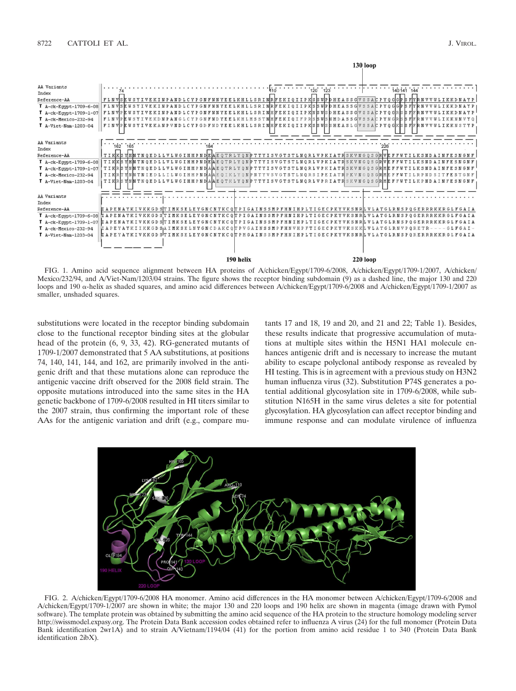

FIG. 1. Amino acid sequence alignment between HA proteins of A/chicken/Egypt/1709-6/2008, A/chicken/Egypt/1709-1/2007, A/chicken/ Mexico/232/94, and A/Viet-Nam/1203/04 strains. The figure shows the receptor binding subdomain (9) as a dashed line, the major 130 and 220 loops and 190  $\alpha$ -helix as shaded squares, and amino acid differences between A/chicken/Egypt/1709-6/2008 and A/chicken/Egypt/1709-1/2007 as smaller, unshaded squares.

substitutions were located in the receptor binding subdomain close to the functional receptor binding sites at the globular head of the protein (6, 9, 33, 42). RG-generated mutants of 1709-1/2007 demonstrated that 5 AA substitutions, at positions 74, 140, 141, 144, and 162, are primarily involved in the antigenic drift and that these mutations alone can reproduce the antigenic vaccine drift observed for the 2008 field strain. The opposite mutations introduced into the same sites in the HA genetic backbone of 1709-6/2008 resulted in HI titers similar to the 2007 strain, thus confirming the important role of these AAs for the antigenic variation and drift (e.g., compare mutants 17 and 18, 19 and 20, and 21 and 22; Table 1). Besides, these results indicate that progressive accumulation of mutations at multiple sites within the H5N1 HA1 molecule enhances antigenic drift and is necessary to increase the mutant ability to escape polyclonal antibody response as revealed by HI testing. This is in agreement with a previous study on H3N2 human influenza virus (32). Substitution P74S generates a potential additional glycosylation site in 1709-6/2008, while substitution N165H in the same virus deletes a site for potential glycosylation. HA glycosylation can affect receptor binding and immune response and can modulate virulence of influenza



FIG. 2. A/chicken/Egypt/1709-6/2008 HA monomer. Amino acid differences in the HA monomer between A/chicken/Egypt/1709-6/2008 and A/chicken/Egypt/1709-1/2007 are shown in white; the major 130 and 220 loops and 190 helix are shown in magenta (image drawn with Pymol software). The template protein was obtained by submitting the amino acid sequence of the HA protein to the structure homology modeling server http://swissmodel.expasy.org. The Protein Data Bank accession codes obtained refer to influenza A virus (24) for the full monomer (Protein Data Bank identification 2wr1A) and to strain A/Vietnam/1194/04 (41) for the portion from amino acid residue 1 to 340 (Protein Data Bank identification 2ibX).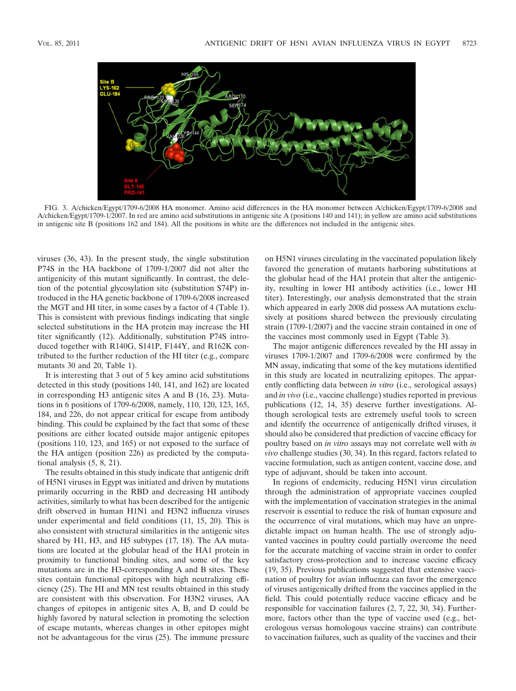

FIG. 3. A/chicken/Egypt/1709-6/2008 HA monomer. Amino acid differences in the HA monomer between A/chicken/Egypt/1709-6/2008 and A/chicken/Egypt/1709-1/2007. In red are amino acid substitutions in antigenic site A (positions 140 and 141); in yellow are amino acid substitutions in antigenic site B (positions 162 and 184). All the positions in white are the differences not included in the antigenic sites.

viruses (36, 43). In the present study, the single substitution P74S in the HA backbone of 1709-1/2007 did not alter the antigenicity of this mutant significantly. In contrast, the deletion of the potential glycosylation site (substitution S74P) introduced in the HA genetic backbone of 1709-6/2008 increased the MGT and HI titer, in some cases by a factor of 4 (Table 1). This is consistent with previous findings indicating that single selected substitutions in the HA protein may increase the HI titer significantly (12). Additionally, substitution P74S introduced together with R140G, S141P, F144Y, and R162K contributed to the further reduction of the HI titer (e.g., compare mutants 30 and 20, Table 1).

It is interesting that 3 out of 5 key amino acid substitutions detected in this study (positions 140, 141, and 162) are located in corresponding H3 antigenic sites A and B (16, 23). Mutations in 6 positions of 1709-6/2008, namely, 110, 120, 123, 165, 184, and 226, do not appear critical for escape from antibody binding. This could be explained by the fact that some of these positions are either located outside major antigenic epitopes (positions 110, 123, and 165) or not exposed to the surface of the HA antigen (position 226) as predicted by the computational analysis (5, 8, 21).

The results obtained in this study indicate that antigenic drift of H5N1 viruses in Egypt was initiated and driven by mutations primarily occurring in the RBD and decreasing HI antibody activities, similarly to what has been described for the antigenic drift observed in human H1N1 and H3N2 influenza viruses under experimental and field conditions (11, 15, 20). This is also consistent with structural similarities in the antigenic sites shared by H1, H3, and H5 subtypes (17, 18). The AA mutations are located at the globular head of the HA1 protein in proximity to functional binding sites, and some of the key mutations are in the H3-corresponding A and B sites. These sites contain functional epitopes with high neutralizing efficiency (25). The HI and MN test results obtained in this study are consistent with this observation. For H3N2 viruses, AA changes of epitopes in antigenic sites A, B, and D could be highly favored by natural selection in promoting the selection of escape mutants, whereas changes in other epitopes might not be advantageous for the virus (25). The immune pressure

on H5N1 viruses circulating in the vaccinated population likely favored the generation of mutants harboring substitutions at the globular head of the HA1 protein that alter the antigenicity, resulting in lower HI antibody activities (i.e., lower HI titer). Interestingly, our analysis demonstrated that the strain which appeared in early 2008 did possess AA mutations exclusively at positions shared between the previously circulating strain (1709-1/2007) and the vaccine strain contained in one of the vaccines most commonly used in Egypt (Table 3).

The major antigenic differences revealed by the HI assay in viruses 1709-1/2007 and 1709-6/2008 were confirmed by the MN assay, indicating that some of the key mutations identified in this study are located in neutralizing epitopes. The apparently conflicting data between *in vitro* (i.e., serological assays) and *in vivo* (i.e., vaccine challenge) studies reported in previous publications (12, 14, 35) deserve further investigations. Although serological tests are extremely useful tools to screen and identify the occurrence of antigenically drifted viruses, it should also be considered that prediction of vaccine efficacy for poultry based on *in vitro* assays may not correlate well with *in vivo* challenge studies (30, 34). In this regard, factors related to vaccine formulation, such as antigen content, vaccine dose, and type of adjuvant, should be taken into account.

In regions of endemicity, reducing H5N1 virus circulation through the administration of appropriate vaccines coupled with the implementation of vaccination strategies in the animal reservoir is essential to reduce the risk of human exposure and the occurrence of viral mutations, which may have an unpredictable impact on human health. The use of strongly adjuvanted vaccines in poultry could partially overcome the need for the accurate matching of vaccine strain in order to confer satisfactory cross-protection and to increase vaccine efficacy (19, 35). Previous publications suggested that extensive vaccination of poultry for avian influenza can favor the emergence of viruses antigenically drifted from the vaccines applied in the field. This could potentially reduce vaccine efficacy and be responsible for vaccination failures (2, 7, 22, 30, 34). Furthermore, factors other than the type of vaccine used (e.g., heterologous versus homologous vaccine strains) can contribute to vaccination failures, such as quality of the vaccines and their